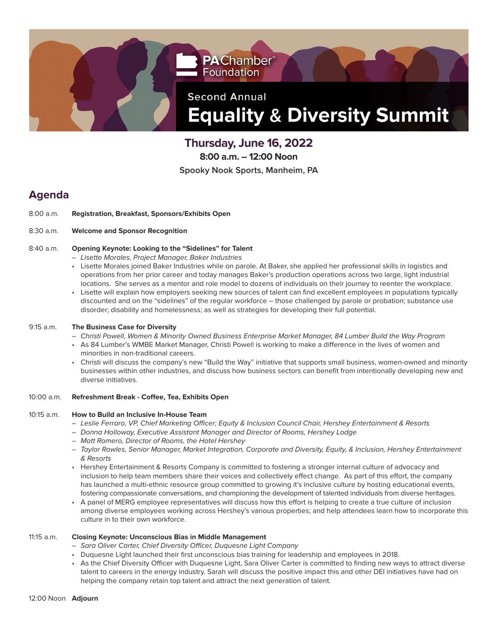

**Thursday, June 16, 2022**

**8:00 a.m. – 12:00 Noon**

**Spooky Nook Sports, Manheim, PA**

## **Agenda**

8:00 a.m. **Registration, Breakfast, Sponsors/Exhibits Open**

## 8:30 a.m. **Welcome and Sponsor Recognition**

#### 8:40 a.m. **Opening Keynote: Looking to the "Sidelines" for Talent**

- Lisette Morales, Project Manager, Baker Industries
- Lisette Morales joined Baker Industries while on parole. At Baker, she applied her professional skills in logistics and operations from her prior career and today manages Baker's production operations across two large, light industrial locations. She serves as a mentor and role model to dozens of individuals on their journey to reenter the workplace.
- Lisette will explain how employers seeking new sources of talent can find excellent employees in populations typically discounted and on the "sidelines" of the regular workforce – those challenged by parole or probation; substance use disorder; disability and homelessness; as well as strategies for developing their full potential.

## 9:15 a.m. **The Business Case for Diversity**

- Christi Powell, Women & Minority Owned Business Enterprise Market Manager, 84 Lumber Build the Way Program
- As 84 Lumber's WMBE Market Manager, Christi Powell is working to make a difference in the lives of women and minorities in non-traditional careers.
- Christi will discuss the company's new "Build the Way" initiative that supports small business, women-owned and minority businesses within other industries, and discuss how business sectors can benefit from intentionally developing new and diverse initiatives.

## 10:00 a.m. **Refreshment Break - Coffee, Tea, Exhibits Open**

## 10:15 a.m. **How to Build an Inclusive In-House Team**

- Leslie Ferraro, VP, Chief Marketing Officer; Equity & Inclusion Council Chair, Hershey Entertainment & Resorts
- Donna Holloway, Executive Assistant Manager and Director of Rooms, Hershey Lodge
- Matt Romero, Director of Rooms, the Hotel Hershey
- Taylor Rowles, Senior Manager, Market Integration, Corporate and Diversity, Equity, & Inclusion, Hershey Entertainment & Resorts
- Hershey Entertainment & Resorts Company is committed to fostering a stronger internal culture of advocacy and inclusion to help team members share their voices and collectively effect change. As part of this effort, the company has launched a multi-ethnic resource group committed to growing it's inclusive culture by hosting educational events, fostering compassionate conversations, and championing the development of talented individuals from diverse heritages.
- A panel of MERG employee representatives will discuss how this effort is helping to create a true culture of inclusion among diverse employees working across Hershey's various properties; and help attendees learn how to incorporate this culture in to their own workforce.

## 11:15 a.m. **Closing Keynote: Unconscious Bias in Middle Management**

- Sara Oliver Carter, Chief Diversity Officer, Duquesne Light Company
- Duquesne Light launched their first unconscious bias training for leadership and employees in 2018.
- As the Chief Diversity Officer with Duquesne Light, Sara Oliver Carter is committed to finding new ways to attract diverse talent to careers in the energy industry. Sarah will discuss the positive impact this and other DEI initiatives have had on helping the company retain top talent and attract the next generation of talent.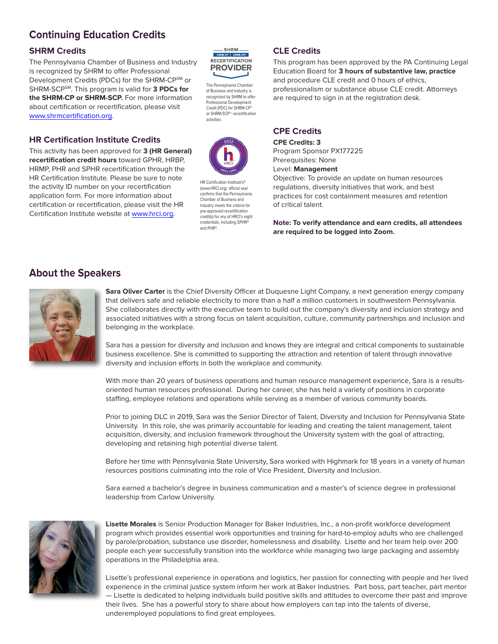# **Continuing Education Credits**

## **SHRM Credits**

The Pennsylvania Chamber of Business and Industry is recognized by SHRM to offer Professional Development Credits (PDCs) for the SHRM-CPSM or SHRM-SCPSM. This program is valid for **3 PDCs for the SHRM-CP or SHRM-SCP.** For more information about certification or recertification, please visit [www.shrmcertification.org.](https://www.shrm.org/pages/default.aspx)

## **HR Certification Institute Credits**

This activity has been approved for **3 (HR General) recertification credit hours** toward GPHR, HRBP, HRMP, PHR and SPHR recertification through the HR Certification Institute. Please be sure to note the activity ID number on your recertification application form. For more information about certification or recertification, please visit the HR Certification Institute website at [www.hrci.org.](https://www.hrci.org)



The Pennsylvania Chamber of Business and Industry is recognized by SHRM to offer Professional Development Credit (PDC) for SHRM-CP<sup>®</sup> or SHRM-SCP© recertification activities.



HR Certification Institute's® (www.HRCI.org) official seal confirms that the Pennsylvania Chamber of Business and Industry meets the criteria for pre-approved recertification credit(s) for any of HRCI's eight credentials, including SPHR and PHR®.

## **CLE Credits**

This program has been approved by the PA Continuing Legal Education Board for **3 hours of substantive law, practice** and procedure CLE credit and 0 hours of ethics, professionalism or substance abuse CLE credit. Attorneys are required to sign in at the registration desk.

## **CPE Credits**

**CPE Credits: 3** Program Sponsor PX177225 Prerequisites: None

Level: **Management**

Objective: To provide an update on human resources regulations, diversity initiatives that work, and best practices for cost containment measures and retention of critical talent.

**Note: To verify attendance and earn credits, all attendees are required to be logged into Zoom.**

## **About the Speakers**



**Sara Oliver Carter** is the Chief Diversity Officer at Duquesne Light Company, a next generation energy company that delivers safe and reliable electricity to more than a half a million customers in southwestern Pennsylvania. She collaborates directly with the executive team to build out the company's diversity and inclusion strategy and associated initiatives with a strong focus on talent acquisition, culture, community partnerships and inclusion and belonging in the workplace.

Sara has a passion for diversity and inclusion and knows they are integral and critical components to sustainable business excellence. She is committed to supporting the attraction and retention of talent through innovative diversity and inclusion efforts in both the workplace and community.

With more than 20 years of business operations and human resource management experience, Sara is a resultsoriented human resources professional. During her career, she has held a variety of positions in corporate staffing, employee relations and operations while serving as a member of various community boards.

Prior to joining DLC in 2019, Sara was the Senior Director of Talent, Diversity and Inclusion for Pennsylvania State University. In this role, she was primarily accountable for leading and creating the talent management, talent acquisition, diversity, and inclusion framework throughout the University system with the goal of attracting, developing and retaining high potential diverse talent.

Before her time with Pennsylvania State University, Sara worked with Highmark for 18 years in a variety of human resources positions culminating into the role of Vice President, Diversity and Inclusion.

Sara earned a bachelor's degree in business communication and a master's of science degree in professional leadership from Carlow University.



**Lisette Morales** is Senior Production Manager for Baker Industries, Inc., a non-profit workforce development program which provides essential work opportunities and training for hard-to-employ adults who are challenged by parole/probation, substance use disorder, homelessness and disability. Lisette and her team help over 200 people each year successfully transition into the workforce while managing two large packaging and assembly operations in the Philadelphia area.

Lisette's professional experience in operations and logistics, her passion for connecting with people and her lived experience in the criminal justice system inform her work at Baker Industries. Part boss, part teacher, part mentor — Lisette is dedicated to helping individuals build positive skills and attitudes to overcome their past and improve their lives. She has a powerful story to share about how employers can tap into the talents of diverse, underemployed populations to find great employees.